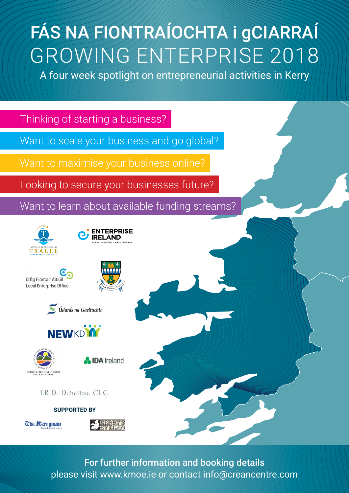## FÁS NA FIONTRAÍOCHTA i gCIARRAÍ GROWING ENTERPRISE 2018

A four week spotlight on entrepreneurial activities in Kerry



For further information and booking details please visit [www.kmoe.ie](http://www.kmoe.ie) or contact [info@creancentre.com](http://info@creancentre.com)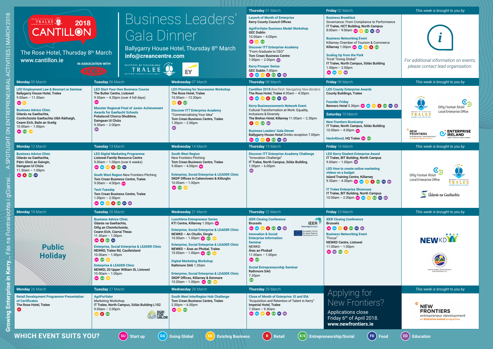|                                                                                                                                                                                                                                                                                                   |                                                                                                                                                                                                                                                                                                                                                                                                              |                                                                                                                                                                                                                                                                                                                                                                                                                                                                                                                                       | Thursday 01 March                                                                                                                                                                                                                                                                                                                                                                                                           | Friday 02 March                                                                                                                                                                                                                                                                                                                                                                                                  | This week is brought to you by                                                                                                                                                                                   |
|---------------------------------------------------------------------------------------------------------------------------------------------------------------------------------------------------------------------------------------------------------------------------------------------------|--------------------------------------------------------------------------------------------------------------------------------------------------------------------------------------------------------------------------------------------------------------------------------------------------------------------------------------------------------------------------------------------------------------|---------------------------------------------------------------------------------------------------------------------------------------------------------------------------------------------------------------------------------------------------------------------------------------------------------------------------------------------------------------------------------------------------------------------------------------------------------------------------------------------------------------------------------------|-----------------------------------------------------------------------------------------------------------------------------------------------------------------------------------------------------------------------------------------------------------------------------------------------------------------------------------------------------------------------------------------------------------------------------|------------------------------------------------------------------------------------------------------------------------------------------------------------------------------------------------------------------------------------------------------------------------------------------------------------------------------------------------------------------------------------------------------------------|------------------------------------------------------------------------------------------------------------------------------------------------------------------------------------------------------------------|
| TRALEE<br>2018<br><b>CANTILLON</b><br>The Rose Hotel, Thursday 8 <sup>th</sup> March<br>www.cantillon.ie                                                                                                                                                                                          | Gala Dinner<br>info@creancentre.com<br><b>IN ASSOCIATION WITH</b><br>INSTITUTE OF TECHNOLOGY (A<br>INSTITIÚID TEICNEOLAÍOCHTA TRÁ LÍ                                                                                                                                                                                                                                                                         | Business Leaders'<br>Ballygarry House Hotel, Thursday 8th March<br>EY                                                                                                                                                                                                                                                                                                                                                                                                                                                                 | <b>Launch of Month of Enterprise</b><br><b>Kerry County Council Offices</b><br><b>AgriForValor Business Model Workshop</b><br><b>GEC Dublin</b><br>$10.00$ am - 4.00pm<br>SU EB E/S<br><b>Discover ITT Enterprise Academy</b><br>"From Graduate to CEO"<br><b>Tom Crean Business Centre</b><br>$1.00 \text{pm} - 2.00 \text{pm}$<br><b>Kerry Prosper Series</b><br>GEC Dublin 7.00pm<br>SU GO ED R FG ED ED                 | <b>Business Breakfast</b><br>Governance: From Compliance to Performance<br>IT Tralee, HCT Building, North Campus<br>8:00am - 9:00am 30 33 33 50 30<br><b>Business Networking Event</b><br>Killarney Chamber of Tourism & Commerce<br>Killarney 1.00pm SU GO GD CD GB<br><b>Scaling Up from the Park</b><br>Tricel "Going Global"<br>IT Tralee, North Campus, Sólás Building<br>$1.00$ pm - 2.00pm<br>SU GG EB ED | For additional information on events,<br>please contact lead organisation.                                                                                                                                       |
| Monday 05 March                                                                                                                                                                                                                                                                                   | Tuesday 06 March                                                                                                                                                                                                                                                                                                                                                                                             | <b>Wednesday</b> 07 March                                                                                                                                                                                                                                                                                                                                                                                                                                                                                                             | Thursday 08 March                                                                                                                                                                                                                                                                                                                                                                                                           | Friday 09 March                                                                                                                                                                                                                                                                                                                                                                                                  | This week is brought to you by                                                                                                                                                                                   |
| <b>LEO Employment Law &amp; Besmart.ie Seminar</b><br><b>Ballygarry House Hotel, Tralee</b><br>$9.00$ am - 11.30am<br>SU EB<br><b>Business Advice Clinic</b><br>Údarás na Gaeltachta.<br>Comhchoiste Gaeltachta Uíbh Ráthaigh,<br>Ceann Eich, Baile an Sceilg<br>$10.00$ am - 1.00pm<br>SU (73 EB | <b>LEO Start Your Own Business Course</b><br>The Butler Centre, Listowel<br>9.30am - 4.30pm (over 4 full days)<br><b>SU</b><br><b>Munster Regional Final of Junior Achievement</b><br><b>Awards for Gaeltacht Schools</b><br>Pobalscoil Chorca Dhuibhne.<br>Daingean Uí Chúis<br>$9.30$ am - 2.00pm<br>$\bigoplus$                                                                                           | <b>LEO Planning for Succession Workshop</b><br>The Rose Hotel, Tralee<br>$10.00$ am - 12.30pm<br><b>BB</b> BB<br><b>Discover ITT Enterprise Academy</b><br>"Commercialising Your Idea"<br>Tom Crean Business Centre, Tralee<br>$1.00pm - 2.00pm$<br>$\bigoplus$                                                                                                                                                                                                                                                                       | <b>Cantillon 2018</b> BrexTech: Navigating New Borders<br>The Rose Hotel, Tralee 8.00am - 4:30pm<br>$\n  0 0 0 0 0 0$<br><b>Kerry Businesswomen's Network Event</b><br>Cultural Transformation at Work: Equality,<br>Inclusions & Diversity<br>The Brehon Hotel, Killarney 11.00am - 2.30pm<br><b>BBBB</b><br><b>Business Leaders' Gala Dinner</b><br>Ballygarry House Hotel Drinks reception 7.00pm<br>SU GO ED R ES ED ED | <b>LEO County Enterprise Awards</b><br><b>County Buildings, Tralee</b><br><b>Founder Friday</b><br>Benners Hotel 5.30pm 30 GB BB BBBBB<br>Saturday 10 March<br><b>New Frontiers Bootcamp</b><br>IT Tralee, North Campus, Sólás Building<br>10.00am - 4.00pm<br>Hack4Good, HQ Tralee SU E/S                                                                                                                       | $\mathbf{C}$<br>Oifig Fiontair Áitiúil<br><b>Local Enterprise Office</b><br>INSTITUTE OF TECHNOLO<br>TRALEF<br><b>ENTERPRISE</b><br><b>NEW</b><br><b>FRONTIERS</b><br><b>IRELAND</b><br>entrepreneur development |
| Monday 12 March                                                                                                                                                                                                                                                                                   | Tuesday 13 March                                                                                                                                                                                                                                                                                                                                                                                             | Wednesday 14 March                                                                                                                                                                                                                                                                                                                                                                                                                                                                                                                    | Thursday 15 March                                                                                                                                                                                                                                                                                                                                                                                                           | Friday 16 March                                                                                                                                                                                                                                                                                                                                                                                                  | This week is brought to you by                                                                                                                                                                                   |
| <b>Business Advice Clinic</b><br>Údarás na Gaeltachta,<br>Páirc Ghnó an Daingin,<br>Daingean Uí Chúis<br>$11.30$ am - $1.00$ pm<br>SU ® ES ED                                                                                                                                                     | <b>LEO Digital Marketing Programme</b><br><b>Listowel Family Resource Centre</b><br>$9.00$ am - 1.00pm (over 6 weeks)<br><b>CD</b> CG EB R ES ED<br>South West Region New Frontiers Pitching<br><b>Tom Crean Business Centre, Tralee</b><br>$9.00$ am – 4.00pm su<br><b>Tech Tuesday</b><br><b>Tom Crean Business Centre, Tralee</b><br>$1.00$ pm - 2.00pm                                                   | <b>South West Region</b><br><b>New Frontiers Pitching</b><br>Tom Crean Business Centre, Tralee<br>$9.00$ am - 4.00pm su<br><b>Enterprise, Social Enterprise &amp; LEADER Clinic</b><br>SKDP Offices in Cahersiveen & Killorglin<br>$10.00$ am - 1.00pm<br>SU E/S EB                                                                                                                                                                                                                                                                   | <b>Discover ITT Enterprise Academy Challenge</b><br>"Innovation Challenge"<br>IT Tralee, North Campus, Sólás Building<br>$1.00$ pm – 6.00pm<br>$\bigoplus$                                                                                                                                                                                                                                                                  | <b>LEO Kerry Student Enterprise Award</b><br>IT Tralee, BIT Building, North Campus<br>$9.00$ am - 1.00pm $\bullet$<br><b>LEO How to create online marketing</b><br>videos on a budget<br><b>Island Training Centre, Killarney</b><br>$9.30$ am - 4.30pm su ce ce R C C D C<br><b>IT Tralee Enterprise Showcase</b><br>IT Tralee, BIT Building, North Campus<br>10.00am - 2.00pm 30 60 8 9 9 6 9 9                | Oifig Fiontair Áitiúil<br><b>Local Enterprise Office</b><br>TRALEP<br>Udarás na Gaeltachta                                                                                                                       |
| Monday 19 March                                                                                                                                                                                                                                                                                   | Tuesday 20 March                                                                                                                                                                                                                                                                                                                                                                                             | Wednesday 21 March                                                                                                                                                                                                                                                                                                                                                                                                                                                                                                                    | Thursday 22 March                                                                                                                                                                                                                                                                                                                                                                                                           | Friday 23 March                                                                                                                                                                                                                                                                                                                                                                                                  | This week is brought to you by                                                                                                                                                                                   |
| <b>Public</b><br><b>Holiday</b>                                                                                                                                                                                                                                                                   | <b>Business Advice Clinic</b><br>Údarás na Gaeltachta,<br>Oifig an Chomhchoiste,<br>Ceann Eich, Ciarraí Theas<br>$11.30$ am - $1.00$ pm<br>SU R ES ED<br><b>Enterprise, Social Enterprise &amp; LEADER Clinic</b><br>NEWKD, Tralee Rd, Castleisland<br>$10.00$ am - 1.00pm<br>SU E/S EB<br><b>Enterprise &amp; LEADER Clinic</b><br>NEWKD, 20 Upper William St, Listowel<br>$10.00$ am - 1.00pm<br>60 E/S EB | <b>Lunchtime Entrepreneur Series</b><br>KTI Centre, Killarney 1.00pm su<br><b>Enterprise, Social Enterprise &amp; LEADER Clinic</b><br>NEWKD - An Chuilin, Dingle<br>10.00am - 1.00pm $\frac{1}{2}$<br><b>Enterprise, Social Enterprise &amp; LEADER Clinic</b><br>NEWKD - Áras an Phobal, Tralee<br>10.00am - 1.00pm $\sin$ (as $\sin$<br><b>Digital Marketing Workshop</b><br>Rathmore SAG 1.30am<br><b>Enterprise, Social Enterprise &amp; LEADER Clinic</b><br>SKDP Offices, Killarney & Kenmare<br>$10.00$ am – 1.00pm su E/S EB | <b>IEER Closing Conference</b><br><b>IEER</b><br><b>Brussels</b><br><b>Interreg Europe</b><br>SU CO ED R ES ED ED<br>European Union<br>European Regional<br><b>Innovation &amp; Social</b><br>elopment Fund<br><b>Enterprise Information</b><br><b>Seminar</b><br>NEWKD<br>Áras an Phobail<br>$11.00am - 1.00pm$<br>SU E/S<br><b>Social Entrepreneurship Seminar</b><br><b>Rathmore SAG</b><br>7.30pm<br>E/S                | <b>IEER Closing Conference</b><br><b>Brussels</b><br>SU GG EB R ES ED ED<br><b>Business Networking Event</b><br>"Focus"<br><b>NEWKD Centre, Listowel</b><br>$11.00$ am - 1.00pm<br>SU ED E/S EB                                                                                                                                                                                                                  | <b>NEWKDW</b><br>SOUTH KERRY DEVELOPMEN<br>PARTNERSHIP CLO                                                                                                                                                       |
| <b>Monday</b> 26 March                                                                                                                                                                                                                                                                            | Tuesday 27 March                                                                                                                                                                                                                                                                                                                                                                                             | <b>Wednesday 28 March</b>                                                                                                                                                                                                                                                                                                                                                                                                                                                                                                             | Thursday 29 March                                                                                                                                                                                                                                                                                                                                                                                                           | Applying for                                                                                                                                                                                                                                                                                                                                                                                                     | This week is brought to you by                                                                                                                                                                                   |
| <b>Retail Development Programme Presentation</b><br>of Certificates<br>The Rose Hotel, Tralee<br><b>Q</b>                                                                                                                                                                                         | <b>AgriForValor</b><br><b>Marketing Workshop</b><br>IT Tralee, North Campus, Sólás Building L102<br>$9.00$ am - 2.00pm<br><b>SEP POR<br/>SEP POR<br/>SEP PALOR</b><br>EB R E/S                                                                                                                                                                                                                               | <b>South West InterRegion Hub Challenge</b><br>Tom Crean Business Centre, Tralee<br>$2.00pm - 6.00pm$<br>SU EB E/S                                                                                                                                                                                                                                                                                                                                                                                                                    | <b>Close of Month of Enterprise: EI and IDA</b><br>"Acquisition and Retention of Talent in Kerry"<br>Imperial Hotel, Tralee<br>$7.30$ am - 9.30am<br>SU GG EB R EG ED ED                                                                                                                                                                                                                                                    | New Frontiers?<br><b>Applications close</b><br>Friday 6th of April 2018.<br>www.newfrontiers.ie                                                                                                                                                                                                                                                                                                                  | <b>NEW</b><br><b>FRONTIERS</b><br>entrepreneur development<br>an Enterprise Ireland programme                                                                                                                    |
| <b>WHICH EVENT SUITS YOU?</b><br>(SU) Start up<br>$(R)$ Retail<br>$($ FD $)$ Food<br>(GG) Going Global<br>$($ ED $)$<br>(E/S) Entrepreneurship/Social<br><b>Education</b><br>EB)<br><b>Existing Business</b>                                                                                      |                                                                                                                                                                                                                                                                                                                                                                                                              |                                                                                                                                                                                                                                                                                                                                                                                                                                                                                                                                       |                                                                                                                                                                                                                                                                                                                                                                                                                             |                                                                                                                                                                                                                                                                                                                                                                                                                  |                                                                                                                                                                                                                  |